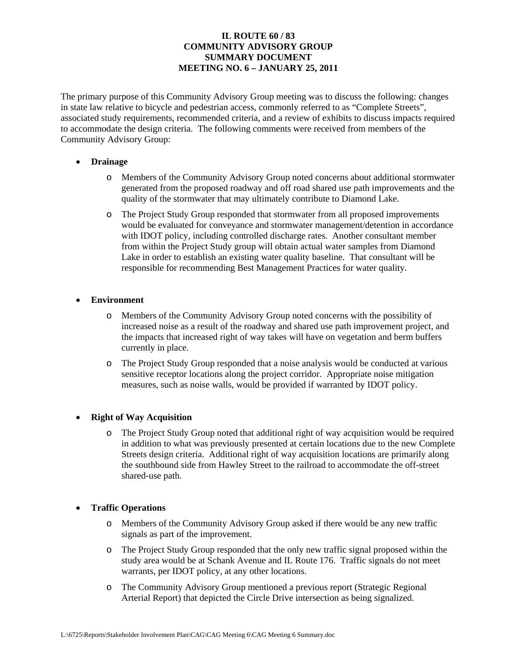# **IL ROUTE 60 / 83 COMMUNITY ADVISORY GROUP SUMMARY DOCUMENT MEETING NO. 6 – JANUARY 25, 2011**

The primary purpose of this Community Advisory Group meeting was to discuss the following: changes in state law relative to bicycle and pedestrian access, commonly referred to as "Complete Streets", associated study requirements, recommended criteria, and a review of exhibits to discuss impacts required to accommodate the design criteria. The following comments were received from members of the Community Advisory Group:

### • **Drainage**

- o Members of the Community Advisory Group noted concerns about additional stormwater generated from the proposed roadway and off road shared use path improvements and the quality of the stormwater that may ultimately contribute to Diamond Lake.
- o The Project Study Group responded that stormwater from all proposed improvements would be evaluated for conveyance and stormwater management/detention in accordance with IDOT policy, including controlled discharge rates. Another consultant member from within the Project Study group will obtain actual water samples from Diamond Lake in order to establish an existing water quality baseline. That consultant will be responsible for recommending Best Management Practices for water quality.

### • **Environment**

- o Members of the Community Advisory Group noted concerns with the possibility of increased noise as a result of the roadway and shared use path improvement project, and the impacts that increased right of way takes will have on vegetation and berm buffers currently in place.
- o The Project Study Group responded that a noise analysis would be conducted at various sensitive receptor locations along the project corridor. Appropriate noise mitigation measures, such as noise walls, would be provided if warranted by IDOT policy.

### • **Right of Way Acquisition**

o The Project Study Group noted that additional right of way acquisition would be required in addition to what was previously presented at certain locations due to the new Complete Streets design criteria. Additional right of way acquisition locations are primarily along the southbound side from Hawley Street to the railroad to accommodate the off-street shared-use path.

### • **Traffic Operations**

- o Members of the Community Advisory Group asked if there would be any new traffic signals as part of the improvement.
- o The Project Study Group responded that the only new traffic signal proposed within the study area would be at Schank Avenue and IL Route 176. Traffic signals do not meet warrants, per IDOT policy, at any other locations.
- o The Community Advisory Group mentioned a previous report (Strategic Regional Arterial Report) that depicted the Circle Drive intersection as being signalized.